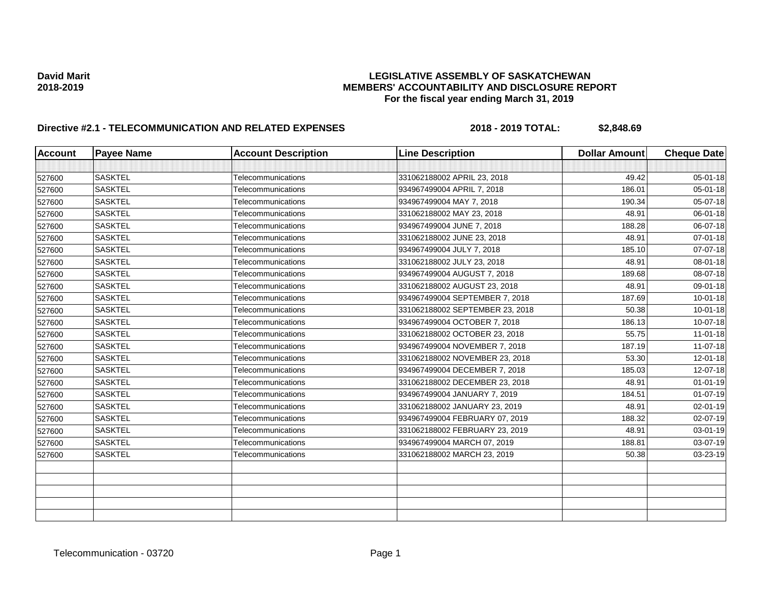| <b>Account</b> | <b>Payee Name</b> | <b>Account Description</b> | <b>Line Description</b>         | <b>Dollar Amount</b> | <b>Cheque Date</b> |
|----------------|-------------------|----------------------------|---------------------------------|----------------------|--------------------|
|                |                   |                            |                                 |                      |                    |
| 527600         | <b>SASKTEL</b>    | Telecommunications         | 331062188002 APRIL 23, 2018     | 49.42                | 05-01-18           |
| 527600         | <b>SASKTEL</b>    | Telecommunications         | 934967499004 APRIL 7, 2018      | 186.01               | 05-01-18           |
| 527600         | <b>SASKTEL</b>    | Telecommunications         | 934967499004 MAY 7, 2018        | 190.34               | 05-07-18           |
| 527600         | <b>SASKTEL</b>    | Telecommunications         | 331062188002 MAY 23, 2018       | 48.91                | 06-01-18           |
| 527600         | <b>SASKTEL</b>    | Telecommunications         | 934967499004 JUNE 7, 2018       | 188.28               | 06-07-18           |
| 527600         | <b>SASKTEL</b>    | Telecommunications         | 331062188002 JUNE 23, 2018      | 48.91                | 07-01-18           |
| 527600         | <b>SASKTEL</b>    | Telecommunications         | 934967499004 JULY 7, 2018       | 185.10               | 07-07-18           |
| 527600         | <b>SASKTEL</b>    | Telecommunications         | 331062188002 JULY 23, 2018      | 48.91                | 08-01-18           |
| 527600         | <b>SASKTEL</b>    | Telecommunications         | 934967499004 AUGUST 7, 2018     | 189.68               | 08-07-18           |
| 527600         | <b>SASKTEL</b>    | Telecommunications         | 331062188002 AUGUST 23, 2018    | 48.91                | 09-01-18           |
| 527600         | <b>SASKTEL</b>    | Telecommunications         | 934967499004 SEPTEMBER 7, 2018  | 187.69               | $10 - 01 - 18$     |
| 527600         | <b>SASKTEL</b>    | Telecommunications         | 331062188002 SEPTEMBER 23, 2018 | 50.38                | $10 - 01 - 18$     |
| 527600         | <b>SASKTEL</b>    | Telecommunications         | 934967499004 OCTOBER 7, 2018    | 186.13               | 10-07-18           |
| 527600         | <b>SASKTEL</b>    | Telecommunications         | 331062188002 OCTOBER 23, 2018   | 55.75                | $11-01-18$         |
| 527600         | <b>SASKTEL</b>    | Telecommunications         | 934967499004 NOVEMBER 7, 2018   | 187.19               | $11-07-18$         |
| 527600         | <b>SASKTEL</b>    | Telecommunications         | 331062188002 NOVEMBER 23, 2018  | 53.30                | $12 - 01 - 18$     |
| 527600         | <b>SASKTEL</b>    | Telecommunications         | 934967499004 DECEMBER 7, 2018   | 185.03               | 12-07-18           |
| 527600         | <b>SASKTEL</b>    | Telecommunications         | 331062188002 DECEMBER 23, 2018  | 48.91                | $01 - 01 - 19$     |
| 527600         | <b>SASKTEL</b>    | Telecommunications         | 934967499004 JANUARY 7, 2019    | 184.51               | $01-07-19$         |
| 527600         | <b>SASKTEL</b>    | Telecommunications         | 331062188002 JANUARY 23, 2019   | 48.91                | 02-01-19           |
| 527600         | <b>SASKTEL</b>    | Telecommunications         | 934967499004 FEBRUARY 07, 2019  | 188.32               | 02-07-19           |
| 527600         | <b>SASKTEL</b>    | Telecommunications         | 331062188002 FEBRUARY 23, 2019  | 48.91                | 03-01-19           |
| 527600         | <b>SASKTEL</b>    | Telecommunications         | 934967499004 MARCH 07, 2019     | 188.81               | 03-07-19           |
| 527600         | <b>SASKTEL</b>    | Telecommunications         | 331062188002 MARCH 23, 2019     | 50.38                | 03-23-19           |
|                |                   |                            |                                 |                      |                    |
|                |                   |                            |                                 |                      |                    |
|                |                   |                            |                                 |                      |                    |
|                |                   |                            |                                 |                      |                    |
|                |                   |                            |                                 |                      |                    |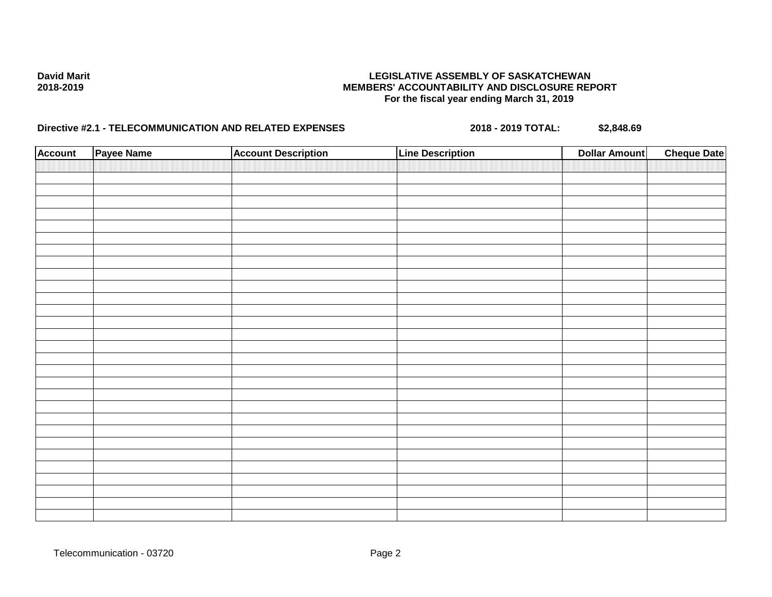| <b>Account</b> | Payee Name | <b>Account Description</b> | <b>Line Description</b> | <b>Dollar Amount</b> | <b>Cheque Date</b> |
|----------------|------------|----------------------------|-------------------------|----------------------|--------------------|
|                |            |                            |                         |                      |                    |
|                |            |                            |                         |                      |                    |
|                |            |                            |                         |                      |                    |
|                |            |                            |                         |                      |                    |
|                |            |                            |                         |                      |                    |
|                |            |                            |                         |                      |                    |
|                |            |                            |                         |                      |                    |
|                |            |                            |                         |                      |                    |
|                |            |                            |                         |                      |                    |
|                |            |                            |                         |                      |                    |
|                |            |                            |                         |                      |                    |
|                |            |                            |                         |                      |                    |
|                |            |                            |                         |                      |                    |
|                |            |                            |                         |                      |                    |
|                |            |                            |                         |                      |                    |
|                |            |                            |                         |                      |                    |
|                |            |                            |                         |                      |                    |
|                |            |                            |                         |                      |                    |
|                |            |                            |                         |                      |                    |
|                |            |                            |                         |                      |                    |
|                |            |                            |                         |                      |                    |
|                |            |                            |                         |                      |                    |
|                |            |                            |                         |                      |                    |
|                |            |                            |                         |                      |                    |
|                |            |                            |                         |                      |                    |
|                |            |                            |                         |                      |                    |
|                |            |                            |                         |                      |                    |
|                |            |                            |                         |                      |                    |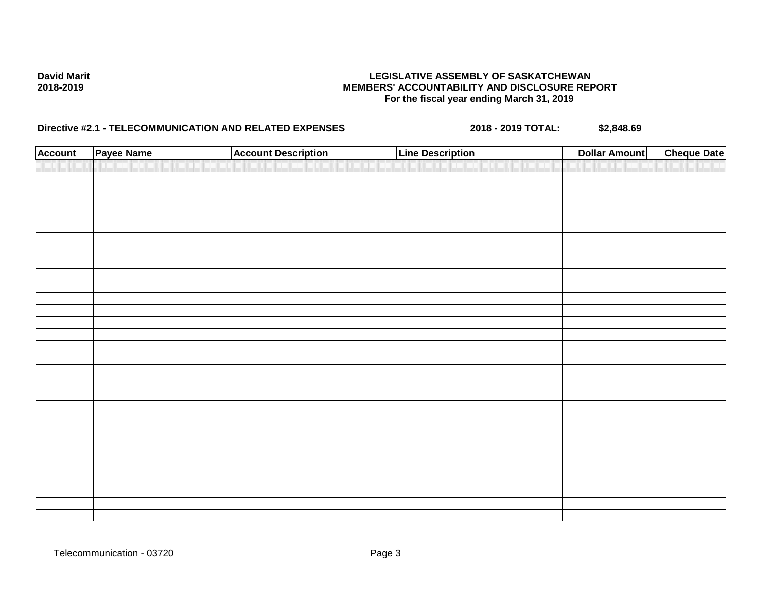| <b>Account</b> | Payee Name | <b>Account Description</b> | <b>Line Description</b> | <b>Dollar Amount</b> | <b>Cheque Date</b> |
|----------------|------------|----------------------------|-------------------------|----------------------|--------------------|
|                |            |                            |                         |                      |                    |
|                |            |                            |                         |                      |                    |
|                |            |                            |                         |                      |                    |
|                |            |                            |                         |                      |                    |
|                |            |                            |                         |                      |                    |
|                |            |                            |                         |                      |                    |
|                |            |                            |                         |                      |                    |
|                |            |                            |                         |                      |                    |
|                |            |                            |                         |                      |                    |
|                |            |                            |                         |                      |                    |
|                |            |                            |                         |                      |                    |
|                |            |                            |                         |                      |                    |
|                |            |                            |                         |                      |                    |
|                |            |                            |                         |                      |                    |
|                |            |                            |                         |                      |                    |
|                |            |                            |                         |                      |                    |
|                |            |                            |                         |                      |                    |
|                |            |                            |                         |                      |                    |
|                |            |                            |                         |                      |                    |
|                |            |                            |                         |                      |                    |
|                |            |                            |                         |                      |                    |
|                |            |                            |                         |                      |                    |
|                |            |                            |                         |                      |                    |
|                |            |                            |                         |                      |                    |
|                |            |                            |                         |                      |                    |
|                |            |                            |                         |                      |                    |
|                |            |                            |                         |                      |                    |
|                |            |                            |                         |                      |                    |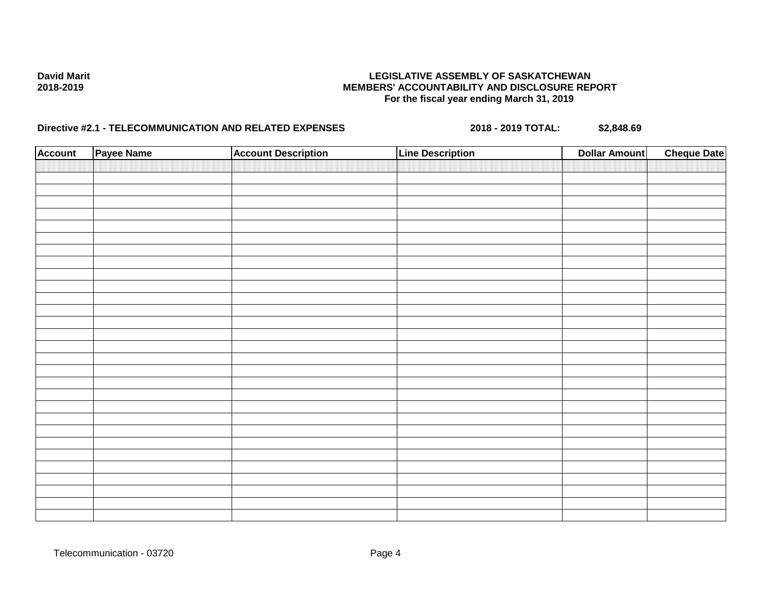| <b>Account</b> | Payee Name | <b>Account Description</b> | <b>Line Description</b> | <b>Dollar Amount</b> | <b>Cheque Date</b> |
|----------------|------------|----------------------------|-------------------------|----------------------|--------------------|
|                |            |                            |                         |                      |                    |
|                |            |                            |                         |                      |                    |
|                |            |                            |                         |                      |                    |
|                |            |                            |                         |                      |                    |
|                |            |                            |                         |                      |                    |
|                |            |                            |                         |                      |                    |
|                |            |                            |                         |                      |                    |
|                |            |                            |                         |                      |                    |
|                |            |                            |                         |                      |                    |
|                |            |                            |                         |                      |                    |
|                |            |                            |                         |                      |                    |
|                |            |                            |                         |                      |                    |
|                |            |                            |                         |                      |                    |
|                |            |                            |                         |                      |                    |
|                |            |                            |                         |                      |                    |
|                |            |                            |                         |                      |                    |
|                |            |                            |                         |                      |                    |
|                |            |                            |                         |                      |                    |
|                |            |                            |                         |                      |                    |
|                |            |                            |                         |                      |                    |
|                |            |                            |                         |                      |                    |
|                |            |                            |                         |                      |                    |
|                |            |                            |                         |                      |                    |
|                |            |                            |                         |                      |                    |
|                |            |                            |                         |                      |                    |
|                |            |                            |                         |                      |                    |
|                |            |                            |                         |                      |                    |
|                |            |                            |                         |                      |                    |
|                |            |                            |                         |                      |                    |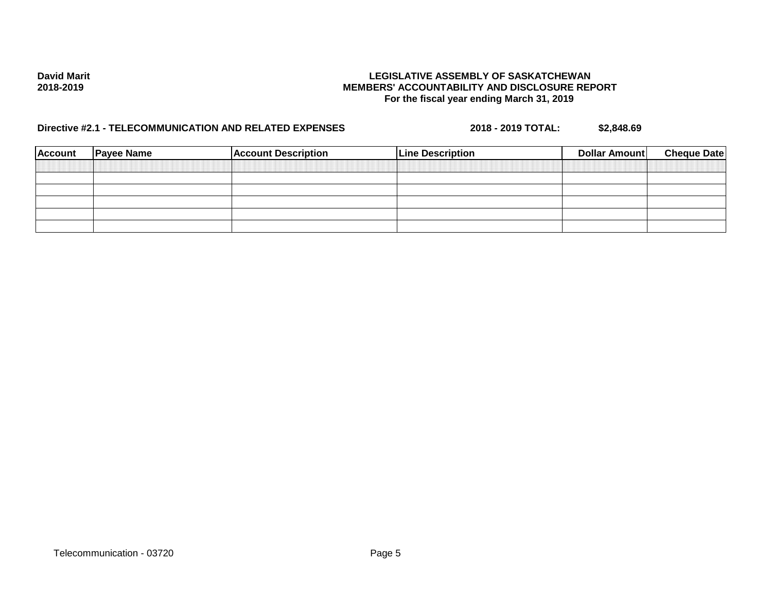| <b>Account</b> | <b>Payee Name</b> | <b>Account Description</b> | <b>Line Description</b> | Dollar Amount | <b>Cheque Date</b> |
|----------------|-------------------|----------------------------|-------------------------|---------------|--------------------|
|                |                   |                            |                         |               |                    |
|                |                   |                            |                         |               |                    |
|                |                   |                            |                         |               |                    |
|                |                   |                            |                         |               |                    |
|                |                   |                            |                         |               |                    |
|                |                   |                            |                         |               |                    |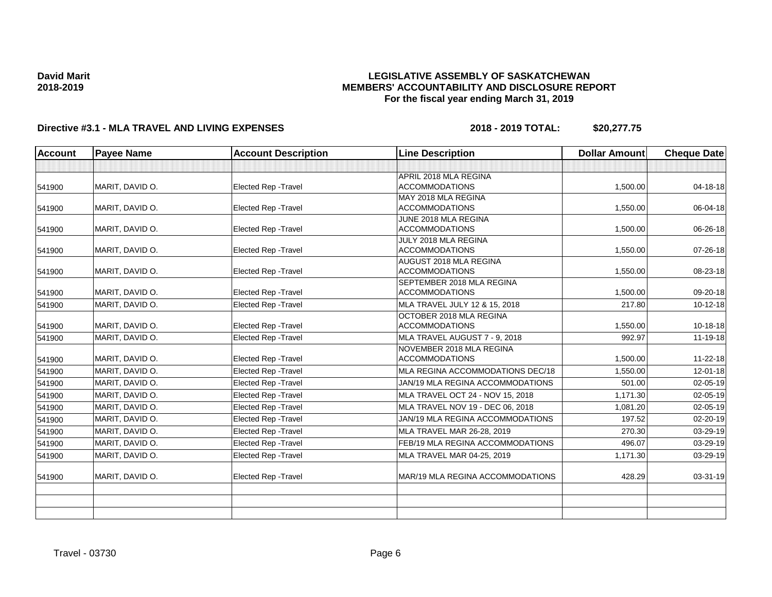## **LEGISLATIVE ASSEMBLY OF SASKATCHEWAN MEMBERS' ACCOUNTABILITY AND DISCLOSURE REPORT For the fiscal year ending March 31, 2019**

| <b>Account</b> | <b>Payee Name</b> | <b>Account Description</b>  | <b>Line Description</b>                            | <b>Dollar Amount</b> | <b>Cheque Date</b> |
|----------------|-------------------|-----------------------------|----------------------------------------------------|----------------------|--------------------|
|                |                   |                             |                                                    |                      |                    |
|                |                   |                             | APRIL 2018 MLA REGINA                              |                      |                    |
| 541900         | MARIT, DAVID O.   | <b>Elected Rep - Travel</b> | <b>ACCOMMODATIONS</b>                              | 1,500.00             | 04-18-18           |
|                |                   |                             | MAY 2018 MLA REGINA                                |                      |                    |
| 541900         | MARIT, DAVID O.   | <b>Elected Rep - Travel</b> | <b>ACCOMMODATIONS</b>                              | 1,550.00             | 06-04-18           |
|                |                   |                             | JUNE 2018 MLA REGINA                               |                      |                    |
| 541900         | MARIT, DAVID O.   | Elected Rep - Travel        | <b>ACCOMMODATIONS</b>                              | 1,500.00             | 06-26-18           |
|                |                   |                             | JULY 2018 MLA REGINA                               |                      |                    |
| 541900         | MARIT, DAVID O.   | Elected Rep - Travel        | <b>ACCOMMODATIONS</b>                              | 1,550.00             | 07-26-18           |
|                |                   |                             | <b>AUGUST 2018 MLA REGINA</b>                      |                      | 08-23-18           |
| 541900         | MARIT, DAVID O.   | Elected Rep - Travel        | <b>ACCOMMODATIONS</b><br>SEPTEMBER 2018 MLA REGINA | 1,550.00             |                    |
| 541900         | MARIT, DAVID O.   | <b>Elected Rep - Travel</b> | <b>ACCOMMODATIONS</b>                              | 1,500.00             | 09-20-18           |
|                | MARIT, DAVID O.   | Elected Rep - Travel        | MLA TRAVEL JULY 12 & 15, 2018                      | 217.80               | $10-12-18$         |
| 541900         |                   |                             | OCTOBER 2018 MLA REGINA                            |                      |                    |
| 541900         | MARIT, DAVID O.   | <b>Elected Rep - Travel</b> | <b>ACCOMMODATIONS</b>                              | 1,550.00             | $10-18-18$         |
| 541900         | MARIT, DAVID O.   | Elected Rep - Travel        | MLA TRAVEL AUGUST 7 - 9, 2018                      | 992.97               | $11 - 19 - 18$     |
|                |                   |                             | NOVEMBER 2018 MLA REGINA                           |                      |                    |
| 541900         | MARIT, DAVID O.   | <b>Elected Rep - Travel</b> | <b>ACCOMMODATIONS</b>                              | 1,500.00             | $11 - 22 - 18$     |
| 541900         | MARIT, DAVID O.   | <b>Elected Rep - Travel</b> | MLA REGINA ACCOMMODATIONS DEC/18                   | 1,550.00             | $12 - 01 - 18$     |
| 541900         | MARIT, DAVID O.   | <b>Elected Rep - Travel</b> | JAN/19 MLA REGINA ACCOMMODATIONS                   | 501.00               | $02 - 05 - 19$     |
| 541900         | MARIT, DAVID O.   | <b>Elected Rep - Travel</b> | MLA TRAVEL OCT 24 - NOV 15, 2018                   | 1,171.30             | 02-05-19           |
| 541900         | MARIT, DAVID O.   | Elected Rep - Travel        | MLA TRAVEL NOV 19 - DEC 06, 2018                   | 1,081.20             | 02-05-19           |
| 541900         | MARIT, DAVID O.   | <b>Elected Rep - Travel</b> | JAN/19 MLA REGINA ACCOMMODATIONS                   | 197.52               | 02-20-19           |
| 541900         | MARIT, DAVID O.   | Elected Rep - Travel        | MLA TRAVEL MAR 26-28, 2019                         | 270.30               | 03-29-19           |
| 541900         | MARIT. DAVID O.   | <b>Elected Rep - Travel</b> | FEB/19 MLA REGINA ACCOMMODATIONS                   | 496.07               | 03-29-19           |
| 541900         | MARIT, DAVID O.   | Elected Rep - Travel        | MLA TRAVEL MAR 04-25, 2019                         | 1,171.30             | 03-29-19           |
| 541900         | MARIT, DAVID O.   | Elected Rep - Travel        | MAR/19 MLA REGINA ACCOMMODATIONS                   | 428.29               | 03-31-19           |
|                |                   |                             |                                                    |                      |                    |
|                |                   |                             |                                                    |                      |                    |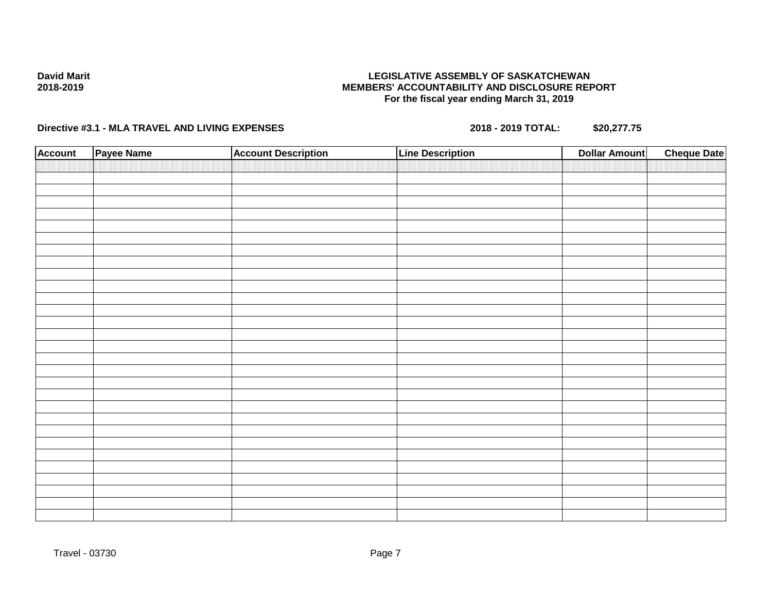## **LEGISLATIVE ASSEMBLY OF SASKATCHEWAN MEMBERS' ACCOUNTABILITY AND DISCLOSURE REPORT For the fiscal year ending March 31, 2019**

| <b>Account</b> | Payee Name | <b>Account Description</b> | Line Description | <b>Dollar Amount</b> | <b>Cheque Date</b> |
|----------------|------------|----------------------------|------------------|----------------------|--------------------|
|                |            |                            |                  |                      |                    |
|                |            |                            |                  |                      |                    |
|                |            |                            |                  |                      |                    |
|                |            |                            |                  |                      |                    |
|                |            |                            |                  |                      |                    |
|                |            |                            |                  |                      |                    |
|                |            |                            |                  |                      |                    |
|                |            |                            |                  |                      |                    |
|                |            |                            |                  |                      |                    |
|                |            |                            |                  |                      |                    |
|                |            |                            |                  |                      |                    |
|                |            |                            |                  |                      |                    |
|                |            |                            |                  |                      |                    |
|                |            |                            |                  |                      |                    |
|                |            |                            |                  |                      |                    |
|                |            |                            |                  |                      |                    |
|                |            |                            |                  |                      |                    |
|                |            |                            |                  |                      |                    |
|                |            |                            |                  |                      |                    |
|                |            |                            |                  |                      |                    |
|                |            |                            |                  |                      |                    |
|                |            |                            |                  |                      |                    |
|                |            |                            |                  |                      |                    |
|                |            |                            |                  |                      |                    |
|                |            |                            |                  |                      |                    |
|                |            |                            |                  |                      |                    |
|                |            |                            |                  |                      |                    |
|                |            |                            |                  |                      |                    |
|                |            |                            |                  |                      |                    |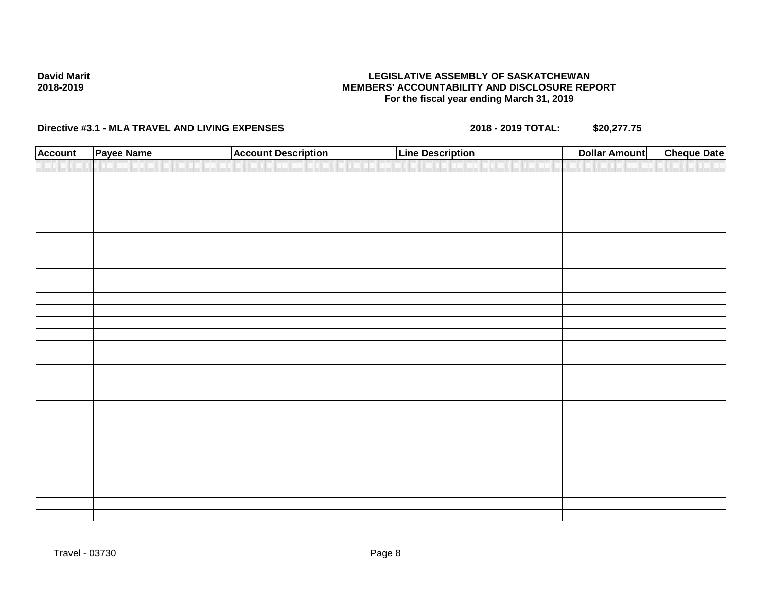## **LEGISLATIVE ASSEMBLY OF SASKATCHEWAN MEMBERS' ACCOUNTABILITY AND DISCLOSURE REPORT For the fiscal year ending March 31, 2019**

| <b>Account</b> | Payee Name | <b>Account Description</b> | <b>Line Description</b> | <b>Dollar Amount</b> | <b>Cheque Date</b> |
|----------------|------------|----------------------------|-------------------------|----------------------|--------------------|
|                |            |                            |                         |                      |                    |
|                |            |                            |                         |                      |                    |
|                |            |                            |                         |                      |                    |
|                |            |                            |                         |                      |                    |
|                |            |                            |                         |                      |                    |
|                |            |                            |                         |                      |                    |
|                |            |                            |                         |                      |                    |
|                |            |                            |                         |                      |                    |
|                |            |                            |                         |                      |                    |
|                |            |                            |                         |                      |                    |
|                |            |                            |                         |                      |                    |
|                |            |                            |                         |                      |                    |
|                |            |                            |                         |                      |                    |
|                |            |                            |                         |                      |                    |
|                |            |                            |                         |                      |                    |
|                |            |                            |                         |                      |                    |
|                |            |                            |                         |                      |                    |
|                |            |                            |                         |                      |                    |
|                |            |                            |                         |                      |                    |
|                |            |                            |                         |                      |                    |
|                |            |                            |                         |                      |                    |
|                |            |                            |                         |                      |                    |
|                |            |                            |                         |                      |                    |
|                |            |                            |                         |                      |                    |
|                |            |                            |                         |                      |                    |
|                |            |                            |                         |                      |                    |
|                |            |                            |                         |                      |                    |
|                |            |                            |                         |                      |                    |
|                |            |                            |                         |                      |                    |
|                |            |                            |                         |                      |                    |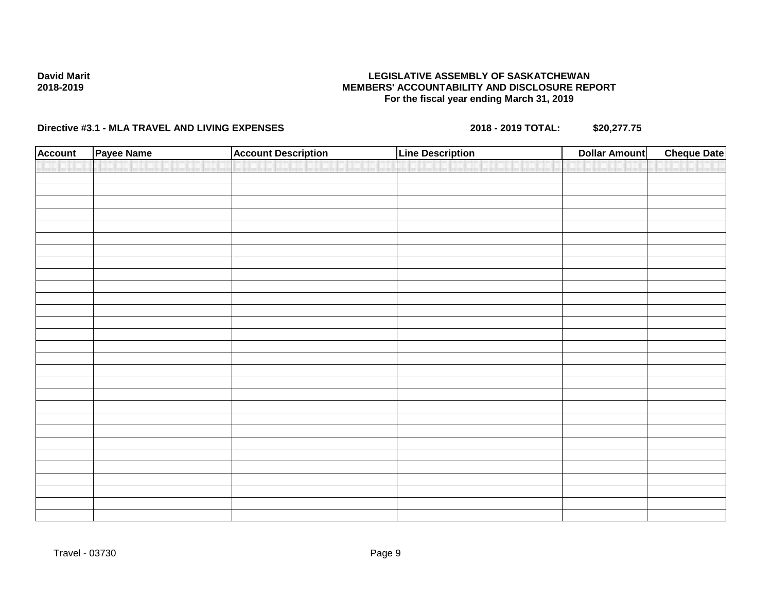## **LEGISLATIVE ASSEMBLY OF SASKATCHEWAN MEMBERS' ACCOUNTABILITY AND DISCLOSURE REPORT For the fiscal year ending March 31, 2019**

| <b>Account</b> | Payee Name | <b>Account Description</b> | Line Description | <b>Dollar Amount</b> | <b>Cheque Date</b> |
|----------------|------------|----------------------------|------------------|----------------------|--------------------|
|                |            |                            |                  |                      |                    |
|                |            |                            |                  |                      |                    |
|                |            |                            |                  |                      |                    |
|                |            |                            |                  |                      |                    |
|                |            |                            |                  |                      |                    |
|                |            |                            |                  |                      |                    |
|                |            |                            |                  |                      |                    |
|                |            |                            |                  |                      |                    |
|                |            |                            |                  |                      |                    |
|                |            |                            |                  |                      |                    |
|                |            |                            |                  |                      |                    |
|                |            |                            |                  |                      |                    |
|                |            |                            |                  |                      |                    |
|                |            |                            |                  |                      |                    |
|                |            |                            |                  |                      |                    |
|                |            |                            |                  |                      |                    |
|                |            |                            |                  |                      |                    |
|                |            |                            |                  |                      |                    |
|                |            |                            |                  |                      |                    |
|                |            |                            |                  |                      |                    |
|                |            |                            |                  |                      |                    |
|                |            |                            |                  |                      |                    |
|                |            |                            |                  |                      |                    |
|                |            |                            |                  |                      |                    |
|                |            |                            |                  |                      |                    |
|                |            |                            |                  |                      |                    |
|                |            |                            |                  |                      |                    |
|                |            |                            |                  |                      |                    |
|                |            |                            |                  |                      |                    |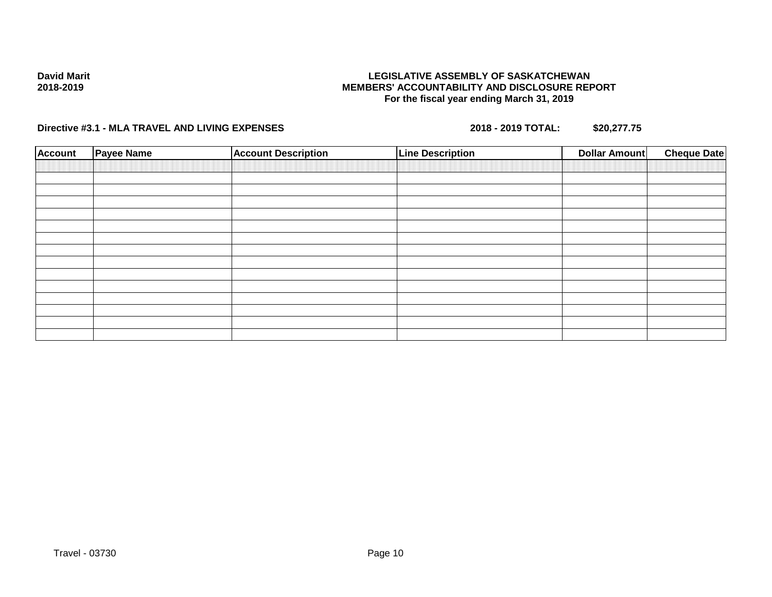## **LEGISLATIVE ASSEMBLY OF SASKATCHEWAN MEMBERS' ACCOUNTABILITY AND DISCLOSURE REPORT For the fiscal year ending March 31, 2019**

| <b>Account</b> | Payee Name | <b>Account Description</b> | <b>Line Description</b> | <b>Dollar Amount</b> | <b>Cheque Date</b> |
|----------------|------------|----------------------------|-------------------------|----------------------|--------------------|
|                |            |                            |                         |                      |                    |
|                |            |                            |                         |                      |                    |
|                |            |                            |                         |                      |                    |
|                |            |                            |                         |                      |                    |
|                |            |                            |                         |                      |                    |
|                |            |                            |                         |                      |                    |
|                |            |                            |                         |                      |                    |
|                |            |                            |                         |                      |                    |
|                |            |                            |                         |                      |                    |
|                |            |                            |                         |                      |                    |
|                |            |                            |                         |                      |                    |
|                |            |                            |                         |                      |                    |
|                |            |                            |                         |                      |                    |
|                |            |                            |                         |                      |                    |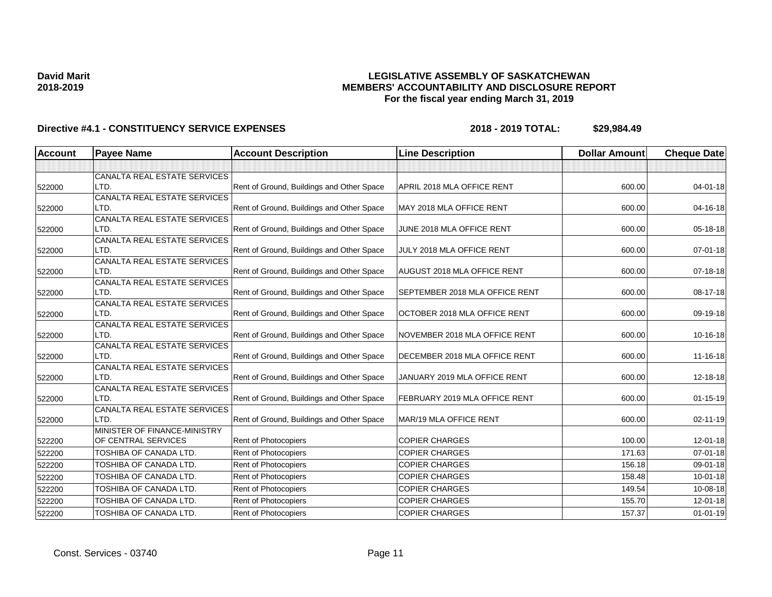## **LEGISLATIVE ASSEMBLY OF SASKATCHEWAN MEMBERS' ACCOUNTABILITY AND DISCLOSURE REPORT For the fiscal year ending March 31, 2019**

| <b>Account</b> | <b>Payee Name</b>                    | <b>Account Description</b>                | <b>Line Description</b>            | <b>Dollar Amount</b> | <b>Cheque Date</b> |
|----------------|--------------------------------------|-------------------------------------------|------------------------------------|----------------------|--------------------|
|                |                                      |                                           |                                    |                      |                    |
|                | CANALTA REAL ESTATE SERVICES         |                                           |                                    |                      |                    |
| 522000         | LTD.                                 | Rent of Ground, Buildings and Other Space | APRIL 2018 MLA OFFICE RENT         | 600.00               | $04 - 01 - 18$     |
|                | CANALTA REAL ESTATE SERVICES         |                                           |                                    |                      |                    |
| 522000         | LTD.                                 | Rent of Ground, Buildings and Other Space | MAY 2018 MLA OFFICE RENT           | 600.00               | 04-16-18           |
|                | CANALTA REAL ESTATE SERVICES         |                                           |                                    |                      |                    |
| 522000         | LTD.                                 | Rent of Ground, Buildings and Other Space | JUNE 2018 MLA OFFICE RENT          | 600.00               | 05-18-18           |
|                | CANALTA REAL ESTATE SERVICES         |                                           |                                    |                      |                    |
| 522000         | LTD.                                 | Rent of Ground, Buildings and Other Space | JULY 2018 MLA OFFICE RENT          | 600.00               | $07 - 01 - 18$     |
|                | CANALTA REAL ESTATE SERVICES         |                                           |                                    |                      |                    |
| 522000         | LTD.                                 | Rent of Ground, Buildings and Other Space | <b>AUGUST 2018 MLA OFFICE RENT</b> | 600.00               | 07-18-18           |
| 522000         | CANALTA REAL ESTATE SERVICES<br>LTD. | Rent of Ground, Buildings and Other Space | SEPTEMBER 2018 MLA OFFICE RENT     | 600.00               | 08-17-18           |
|                | CANALTA REAL ESTATE SERVICES         |                                           |                                    |                      |                    |
| 522000         | LTD.                                 | Rent of Ground, Buildings and Other Space | OCTOBER 2018 MLA OFFICE RENT       | 600.00               | 09-19-18           |
|                | CANALTA REAL ESTATE SERVICES         |                                           |                                    |                      |                    |
| 522000         | LTD.                                 | Rent of Ground, Buildings and Other Space | NOVEMBER 2018 MLA OFFICE RENT      | 600.00               | 10-16-18           |
|                | CANALTA REAL ESTATE SERVICES         |                                           |                                    |                      |                    |
| 522000         | LTD.                                 | Rent of Ground, Buildings and Other Space | DECEMBER 2018 MLA OFFICE RENT      | 600.00               | 11-16-18           |
|                | CANALTA REAL ESTATE SERVICES         |                                           |                                    |                      |                    |
| 522000         | LTD.                                 | Rent of Ground, Buildings and Other Space | JANUARY 2019 MLA OFFICE RENT       | 600.00               | 12-18-18           |
|                | CANALTA REAL ESTATE SERVICES         |                                           |                                    |                      |                    |
| 522000         | LTD.                                 | Rent of Ground, Buildings and Other Space | FEBRUARY 2019 MLA OFFICE RENT      | 600.00               | $01 - 15 - 19$     |
|                | CANALTA REAL ESTATE SERVICES         |                                           |                                    |                      |                    |
| 522000         | LTD.                                 | Rent of Ground, Buildings and Other Space | MAR/19 MLA OFFICE RENT             | 600.00               | $02 - 11 - 19$     |
|                | MINISTER OF FINANCE-MINISTRY         |                                           |                                    |                      |                    |
| 522200         | OF CENTRAL SERVICES                  | Rent of Photocopiers                      | <b>COPIER CHARGES</b>              | 100.00               | $12 - 01 - 18$     |
| 522200         | TOSHIBA OF CANADA LTD.               | Rent of Photocopiers                      | <b>COPIER CHARGES</b>              | 171.63               | $07 - 01 - 18$     |
| 522200         | TOSHIBA OF CANADA LTD.               | Rent of Photocopiers                      | <b>COPIER CHARGES</b>              | 156.18               | 09-01-18           |
| 522200         | TOSHIBA OF CANADA LTD.               | Rent of Photocopiers                      | <b>COPIER CHARGES</b>              | 158.48               | 10-01-18           |
| 522200         | TOSHIBA OF CANADA LTD.               | Rent of Photocopiers                      | <b>COPIER CHARGES</b>              | 149.54               | 10-08-18           |
| 522200         | TOSHIBA OF CANADA LTD.               | Rent of Photocopiers                      | <b>COPIER CHARGES</b>              | 155.70               | 12-01-18           |
| 522200         | TOSHIBA OF CANADA LTD.               | Rent of Photocopiers                      | <b>COPIER CHARGES</b>              | 157.37               | $01 - 01 - 19$     |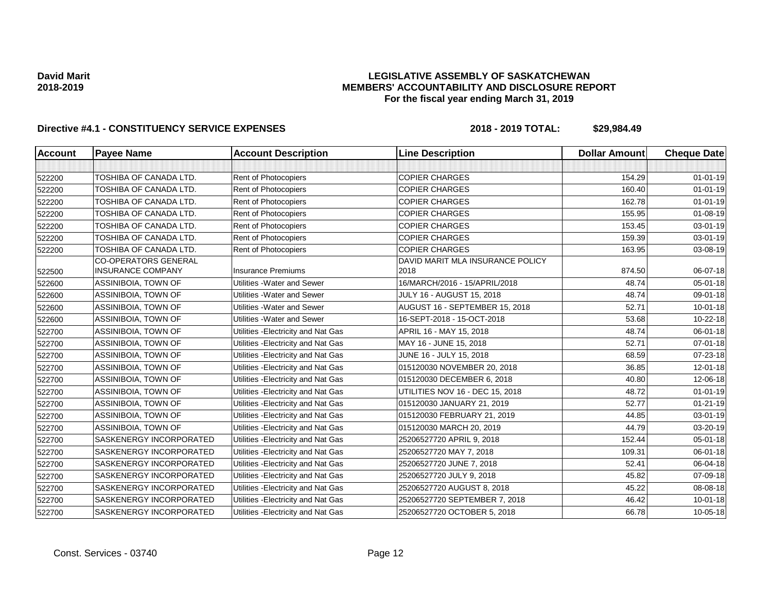## **LEGISLATIVE ASSEMBLY OF SASKATCHEWAN MEMBERS' ACCOUNTABILITY AND DISCLOSURE REPORT For the fiscal year ending March 31, 2019**

| <b>Account</b> | <b>Payee Name</b>                                       | <b>Account Description</b>          | <b>Line Description</b>                  | <b>Dollar Amount</b> | <b>Cheque Date</b> |
|----------------|---------------------------------------------------------|-------------------------------------|------------------------------------------|----------------------|--------------------|
|                |                                                         |                                     |                                          |                      |                    |
| 522200         | TOSHIBA OF CANADA LTD.                                  | Rent of Photocopiers                | <b>COPIER CHARGES</b>                    | 154.29               | $01 - 01 - 19$     |
| 522200         | TOSHIBA OF CANADA LTD.                                  | Rent of Photocopiers                | <b>COPIER CHARGES</b>                    | 160.40               | $01 - 01 - 19$     |
| 522200         | TOSHIBA OF CANADA LTD.                                  | Rent of Photocopiers                | <b>COPIER CHARGES</b>                    | 162.78               | $01 - 01 - 19$     |
| 522200         | TOSHIBA OF CANADA LTD.                                  | Rent of Photocopiers                | <b>COPIER CHARGES</b>                    | 155.95               | $01 - 08 - 19$     |
| 522200         | <b>TOSHIBA OF CANADA LTD.</b>                           | Rent of Photocopiers                | <b>COPIER CHARGES</b>                    | 153.45               | 03-01-19           |
| 522200         | TOSHIBA OF CANADA LTD.                                  | Rent of Photocopiers                | <b>COPIER CHARGES</b>                    | 159.39               | 03-01-19           |
| 522200         | TOSHIBA OF CANADA LTD.                                  | Rent of Photocopiers                | <b>COPIER CHARGES</b>                    | 163.95               | 03-08-19           |
| 522500         | <b>CO-OPERATORS GENERAL</b><br><b>INSURANCE COMPANY</b> | <b>Insurance Premiums</b>           | DAVID MARIT MLA INSURANCE POLICY<br>2018 | 874.50               | 06-07-18           |
| 522600         | ASSINIBOIA, TOWN OF                                     | Utilities - Water and Sewer         | 16/MARCH/2016 - 15/APRIL/2018            | 48.74                | $05 - 01 - 18$     |
| 522600         | ASSINIBOIA, TOWN OF                                     | Utilities - Water and Sewer         | <b>JULY 16 - AUGUST 15, 2018</b>         | 48.74                | 09-01-18           |
| 522600         | ASSINIBOIA, TOWN OF                                     | Utilities - Water and Sewer         | AUGUST 16 - SEPTEMBER 15, 2018           | 52.71                | $10 - 01 - 18$     |
| 522600         | ASSINIBOIA, TOWN OF                                     | Utilities - Water and Sewer         | 16-SEPT-2018 - 15-OCT-2018               | 53.68                | 10-22-18           |
| 522700         | ASSINIBOIA, TOWN OF                                     | Utilities - Electricity and Nat Gas | APRIL 16 - MAY 15, 2018                  | 48.74                | 06-01-18           |
| 522700         | ASSINIBOIA, TOWN OF                                     | Utilities - Electricity and Nat Gas | MAY 16 - JUNE 15, 2018                   | 52.71                | $07 - 01 - 18$     |
| 522700         | ASSINIBOIA, TOWN OF                                     | Utilities - Electricity and Nat Gas | JUNE 16 - JULY 15, 2018                  | 68.59                | 07-23-18           |
| 522700         | ASSINIBOIA, TOWN OF                                     | Utilities - Electricity and Nat Gas | 015120030 NOVEMBER 20, 2018              | 36.85                | $12 - 01 - 18$     |
| 522700         | ASSINIBOIA, TOWN OF                                     | Utilities - Electricity and Nat Gas | 015120030 DECEMBER 6, 2018               | 40.80                | 12-06-18           |
| 522700         | ASSINIBOIA, TOWN OF                                     | Utilities - Electricity and Nat Gas | UTILITIES NOV 16 - DEC 15, 2018          | 48.72                | $01 - 01 - 19$     |
| 522700         | ASSINIBOIA, TOWN OF                                     | Utilities - Electricity and Nat Gas | 015120030 JANUARY 21, 2019               | 52.77                | $01 - 21 - 19$     |
| 522700         | ASSINIBOIA, TOWN OF                                     | Utilities - Electricity and Nat Gas | 015120030 FEBRUARY 21, 2019              | 44.85                | 03-01-19           |
| 522700         | ASSINIBOIA, TOWN OF                                     | Utilities - Electricity and Nat Gas | 015120030 MARCH 20, 2019                 | 44.79                | 03-20-19           |
| 522700         | SASKENERGY INCORPORATED                                 | Utilities - Electricity and Nat Gas | 25206527720 APRIL 9, 2018                | 152.44               | 05-01-18           |
| 522700         | SASKENERGY INCORPORATED                                 | Utilities - Electricity and Nat Gas | 25206527720 MAY 7, 2018                  | 109.31               | 06-01-18           |
| 522700         | SASKENERGY INCORPORATED                                 | Utilities - Electricity and Nat Gas | 25206527720 JUNE 7, 2018                 | 52.41                | 06-04-18           |
| 522700         | SASKENERGY INCORPORATED                                 | Utilities - Electricity and Nat Gas | 25206527720 JULY 9, 2018                 | 45.82                | 07-09-18           |
| 522700         | SASKENERGY INCORPORATED                                 | Utilities - Electricity and Nat Gas | 25206527720 AUGUST 8, 2018               | 45.22                | 08-08-18           |
| 522700         | SASKENERGY INCORPORATED                                 | Utilities - Electricity and Nat Gas | 25206527720 SEPTEMBER 7, 2018            | 46.42                | $10 - 01 - 18$     |
| 522700         | SASKENERGY INCORPORATED                                 | Utilities - Electricity and Nat Gas | 25206527720 OCTOBER 5, 2018              | 66.78                | 10-05-18           |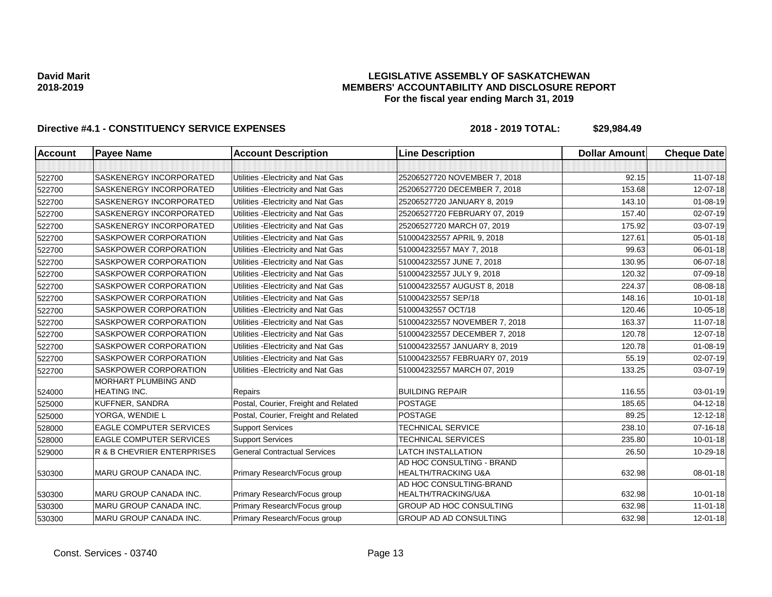## **LEGISLATIVE ASSEMBLY OF SASKATCHEWAN MEMBERS' ACCOUNTABILITY AND DISCLOSURE REPORT For the fiscal year ending March 31, 2019**

| <b>Account</b> | <b>Payee Name</b>                                  | <b>Account Description</b>           | <b>Line Description</b>                                     | <b>Dollar Amount</b> | <b>Cheque Date</b> |
|----------------|----------------------------------------------------|--------------------------------------|-------------------------------------------------------------|----------------------|--------------------|
|                |                                                    |                                      |                                                             |                      |                    |
| 522700         | SASKENERGY INCORPORATED                            | Utilities - Electricity and Nat Gas  | 25206527720 NOVEMBER 7, 2018                                | 92.15                | 11-07-18           |
| 522700         | SASKENERGY INCORPORATED                            | Utilities - Electricity and Nat Gas  | 25206527720 DECEMBER 7, 2018                                | 153.68               | 12-07-18           |
| 522700         | <b>SASKENERGY INCORPORATED</b>                     | Utilities - Electricity and Nat Gas  | 25206527720 JANUARY 8, 2019                                 | 143.10               | 01-08-19           |
| 522700         | <b>SASKENERGY INCORPORATED</b>                     | Utilities - Electricity and Nat Gas  | 25206527720 FEBRUARY 07, 2019                               | 157.40               | 02-07-19           |
| 522700         | SASKENERGY INCORPORATED                            | Utilities - Electricity and Nat Gas  | 25206527720 MARCH 07, 2019                                  | 175.92               | 03-07-19           |
| 522700         | <b>SASKPOWER CORPORATION</b>                       | Utilities - Electricity and Nat Gas  | 510004232557 APRIL 9, 2018                                  | 127.61               | 05-01-18           |
| 522700         | <b>SASKPOWER CORPORATION</b>                       | Utilities - Electricity and Nat Gas  | 510004232557 MAY 7, 2018                                    | 99.63                | 06-01-18           |
| 522700         | SASKPOWER CORPORATION                              | Utilities - Electricity and Nat Gas  | 510004232557 JUNE 7, 2018                                   | 130.95               | 06-07-18           |
| 522700         | SASKPOWER CORPORATION                              | Utilities - Electricity and Nat Gas  | 510004232557 JULY 9, 2018                                   | 120.32               | 07-09-18           |
| 522700         | SASKPOWER CORPORATION                              | Utilities - Electricity and Nat Gas  | 510004232557 AUGUST 8, 2018                                 | 224.37               | 08-08-18           |
| 522700         | SASKPOWER CORPORATION                              | Utilities - Electricity and Nat Gas  | 510004232557 SEP/18                                         | 148.16               | $10 - 01 - 18$     |
| 522700         | <b>SASKPOWER CORPORATION</b>                       | Utilities - Electricity and Nat Gas  | 51000432557 OCT/18                                          | 120.46               | 10-05-18           |
| 522700         | SASKPOWER CORPORATION                              | Utilities - Electricity and Nat Gas  | 510004232557 NOVEMBER 7, 2018                               | 163.37               | 11-07-18           |
| 522700         | SASKPOWER CORPORATION                              | Utilities - Electricity and Nat Gas  | 510004232557 DECEMBER 7, 2018                               | 120.78               | 12-07-18           |
| 522700         | <b>SASKPOWER CORPORATION</b>                       | Utilities - Electricity and Nat Gas  | 510004232557 JANUARY 8, 2019                                | 120.78               | 01-08-19           |
| 522700         | SASKPOWER CORPORATION                              | Utilities - Electricity and Nat Gas  | 510004232557 FEBRUARY 07, 2019                              | 55.19                | 02-07-19           |
| 522700         | SASKPOWER CORPORATION                              | Utilities - Electricity and Nat Gas  | 510004232557 MARCH 07, 2019                                 | 133.25               | 03-07-19           |
| 524000         | <b>MORHART PLUMBING AND</b><br><b>HEATING INC.</b> | Repairs                              | <b>BUILDING REPAIR</b>                                      | 116.55               | $03 - 01 - 19$     |
| 525000         | KUFFNER, SANDRA                                    | Postal, Courier, Freight and Related | <b>POSTAGE</b>                                              | 185.65               | 04-12-18           |
| 525000         | YORGA, WENDIE L                                    | Postal, Courier, Freight and Related | <b>POSTAGE</b>                                              | 89.25                | 12-12-18           |
| 528000         | <b>EAGLE COMPUTER SERVICES</b>                     | <b>Support Services</b>              | <b>TECHNICAL SERVICE</b>                                    | 238.10               | 07-16-18           |
| 528000         | <b>EAGLE COMPUTER SERVICES</b>                     | <b>Support Services</b>              | <b>TECHNICAL SERVICES</b>                                   | 235.80               | $10 - 01 - 18$     |
| 529000         | <b>R &amp; B CHEVRIER ENTERPRISES</b>              | <b>General Contractual Services</b>  | <b>LATCH INSTALLATION</b>                                   | 26.50                | 10-29-18           |
| 530300         | MARU GROUP CANADA INC.                             | Primary Research/Focus group         | AD HOC CONSULTING - BRAND<br><b>HEALTH/TRACKING U&amp;A</b> | 632.98               | 08-01-18           |
| 530300         | <b>MARU GROUP CANADA INC.</b>                      | Primary Research/Focus group         | AD HOC CONSULTING-BRAND<br>HEALTH/TRACKING/U&A              | 632.98               | $10 - 01 - 18$     |
| 530300         | <b>MARU GROUP CANADA INC.</b>                      | Primary Research/Focus group         | GROUP AD HOC CONSULTING                                     | 632.98               | $11-01-18$         |
| 530300         | MARU GROUP CANADA INC.                             | Primary Research/Focus group         | GROUP AD AD CONSULTING                                      | 632.98               | 12-01-18           |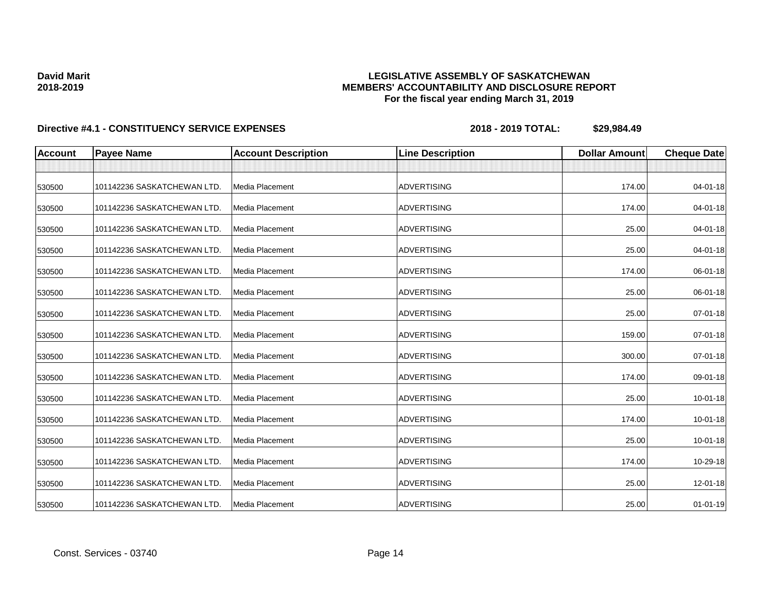## **LEGISLATIVE ASSEMBLY OF SASKATCHEWAN MEMBERS' ACCOUNTABILITY AND DISCLOSURE REPORT For the fiscal year ending March 31, 2019**

| <b>Account</b> | <b>Payee Name</b>           | <b>Account Description</b> | <b>Line Description</b> | <b>Dollar Amount</b> | <b>Cheque Date</b> |
|----------------|-----------------------------|----------------------------|-------------------------|----------------------|--------------------|
|                |                             |                            |                         |                      |                    |
| 530500         | 101142236 SASKATCHEWAN LTD. | Media Placement            | <b>ADVERTISING</b>      | 174.00               | 04-01-18           |
| 530500         | 101142236 SASKATCHEWAN LTD. | Media Placement            | <b>ADVERTISING</b>      | 174.00               | 04-01-18           |
| 530500         | 101142236 SASKATCHEWAN LTD. | Media Placement            | <b>ADVERTISING</b>      | 25.00                | $04 - 01 - 18$     |
| 530500         | 101142236 SASKATCHEWAN LTD. | Media Placement            | <b>ADVERTISING</b>      | 25.00                | 04-01-18           |
| 530500         | 101142236 SASKATCHEWAN LTD. | Media Placement            | <b>ADVERTISING</b>      | 174.00               | 06-01-18           |
| 530500         | 101142236 SASKATCHEWAN LTD. | Media Placement            | <b>ADVERTISING</b>      | 25.00                | 06-01-18           |
| 530500         | 101142236 SASKATCHEWAN LTD. | Media Placement            | <b>ADVERTISING</b>      | 25.00                | $07 - 01 - 18$     |
| 530500         | 101142236 SASKATCHEWAN LTD. | Media Placement            | <b>ADVERTISING</b>      | 159.00               | 07-01-18           |
| 530500         | 101142236 SASKATCHEWAN LTD. | Media Placement            | <b>ADVERTISING</b>      | 300.00               | 07-01-18           |
| 530500         | 101142236 SASKATCHEWAN LTD. | Media Placement            | <b>ADVERTISING</b>      | 174.00               | 09-01-18           |
| 530500         | 101142236 SASKATCHEWAN LTD. | <b>Media Placement</b>     | <b>ADVERTISING</b>      | 25.00                | $10 - 01 - 18$     |
| 530500         | 101142236 SASKATCHEWAN LTD. | Media Placement            | <b>ADVERTISING</b>      | 174.00               | $10 - 01 - 18$     |
| 530500         | 101142236 SASKATCHEWAN LTD. | Media Placement            | <b>ADVERTISING</b>      | 25.00                | 10-01-18           |
| 530500         | 101142236 SASKATCHEWAN LTD. | Media Placement            | <b>ADVERTISING</b>      | 174.00               | 10-29-18           |
| 530500         | 101142236 SASKATCHEWAN LTD. | Media Placement            | <b>ADVERTISING</b>      | 25.00                | 12-01-18           |
| 530500         | 101142236 SASKATCHEWAN LTD. | Media Placement            | ADVERTISING             | 25.00                | $01-01-19$         |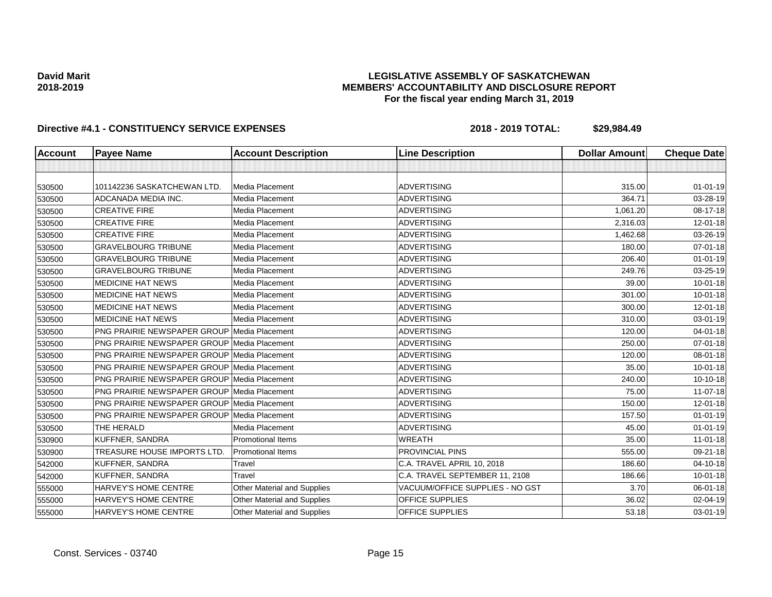## **LEGISLATIVE ASSEMBLY OF SASKATCHEWAN MEMBERS' ACCOUNTABILITY AND DISCLOSURE REPORT For the fiscal year ending March 31, 2019**

| <b>Account</b> | <b>Payee Name</b>                                  | <b>Account Description</b>         | <b>Line Description</b>         | <b>Dollar Amount</b> | <b>Cheque Date</b> |
|----------------|----------------------------------------------------|------------------------------------|---------------------------------|----------------------|--------------------|
|                |                                                    |                                    |                                 |                      |                    |
| 530500         | 101142236 SASKATCHEWAN LTD.                        | Media Placement                    | <b>ADVERTISING</b>              | 315.00               | $01 - 01 - 19$     |
| 530500         | ADCANADA MEDIA INC.                                | Media Placement                    | <b>ADVERTISING</b>              | 364.71               | 03-28-19           |
| 530500         | <b>CREATIVE FIRE</b>                               | Media Placement                    | <b>ADVERTISING</b>              | 1,061.20             | 08-17-18           |
| 530500         | <b>CREATIVE FIRE</b>                               | Media Placement                    | <b>ADVERTISING</b>              | 2,316.03             | $12 - 01 - 18$     |
| 530500         | <b>CREATIVE FIRE</b>                               | Media Placement                    | <b>ADVERTISING</b>              | 1,462.68             | 03-26-19           |
| 530500         | <b>GRAVELBOURG TRIBUNE</b>                         | Media Placement                    | <b>ADVERTISING</b>              | 180.00               | $07 - 01 - 18$     |
| 530500         | <b>GRAVELBOURG TRIBUNE</b>                         | Media Placement                    | <b>ADVERTISING</b>              | 206.40               | $01 - 01 - 19$     |
| 530500         | <b>GRAVELBOURG TRIBUNE</b>                         | Media Placement                    | <b>ADVERTISING</b>              | 249.76               | 03-25-19           |
| 530500         | <b>MEDICINE HAT NEWS</b>                           | Media Placement                    | <b>ADVERTISING</b>              | 39.00                | 10-01-18           |
| 530500         | <b>MEDICINE HAT NEWS</b>                           | Media Placement                    | <b>ADVERTISING</b>              | 301.00               | $10 - 01 - 18$     |
| 530500         | <b>MEDICINE HAT NEWS</b>                           | Media Placement                    | <b>ADVERTISING</b>              | 300.00               | 12-01-18           |
| 530500         | <b>MEDICINE HAT NEWS</b>                           | Media Placement                    | <b>ADVERTISING</b>              | 310.00               | 03-01-19           |
| 530500         | <b>PNG PRAIRIE NEWSPAPER GROUP Media Placement</b> |                                    | <b>ADVERTISING</b>              | 120.00               | $04 - 01 - 18$     |
| 530500         | <b>PNG PRAIRIE NEWSPAPER GROUP Media Placement</b> |                                    | <b>ADVERTISING</b>              | 250.00               | 07-01-18           |
| 530500         | <b>PNG PRAIRIE NEWSPAPER GROUP Media Placement</b> |                                    | <b>ADVERTISING</b>              | 120.00               | 08-01-18           |
| 530500         | <b>PNG PRAIRIE NEWSPAPER GROUP Media Placement</b> |                                    | <b>ADVERTISING</b>              | 35.00                | $10 - 01 - 18$     |
| 530500         | PNG PRAIRIE NEWSPAPER GROUP Media Placement        |                                    | <b>ADVERTISING</b>              | 240.00               | $10-10-18$         |
| 530500         | <b>PNG PRAIRIE NEWSPAPER GROUP Media Placement</b> |                                    | <b>ADVERTISING</b>              | 75.00                | 11-07-18           |
| 530500         | <b>PNG PRAIRIE NEWSPAPER GROUP Media Placement</b> |                                    | <b>ADVERTISING</b>              | 150.00               | 12-01-18           |
| 530500         | <b>PNG PRAIRIE NEWSPAPER GROUP Media Placement</b> |                                    | <b>ADVERTISING</b>              | 157.50               | $01 - 01 - 19$     |
| 530500         | THE HERALD                                         | Media Placement                    | <b>ADVERTISING</b>              | 45.00                | $01 - 01 - 19$     |
| 530900         | KUFFNER, SANDRA                                    | <b>Promotional Items</b>           | <b>WREATH</b>                   | 35.00                | $11-01-18$         |
| 530900         | <b>TREASURE HOUSE IMPORTS LTD.</b>                 | <b>Promotional Items</b>           | <b>PROVINCIAL PINS</b>          | 555.00               | 09-21-18           |
| 542000         | KUFFNER, SANDRA                                    | Travel                             | C.A. TRAVEL APRIL 10, 2018      | 186.60               | $04 - 10 - 18$     |
| 542000         | KUFFNER, SANDRA                                    | Travel                             | C.A. TRAVEL SEPTEMBER 11, 2108  | 186.66               | $10 - 01 - 18$     |
| 555000         | HARVEY'S HOME CENTRE                               | <b>Other Material and Supplies</b> | VACUUM/OFFICE SUPPLIES - NO GST | 3.70                 | 06-01-18           |
| 555000         | HARVEY'S HOME CENTRE                               | Other Material and Supplies        | OFFICE SUPPLIES                 | 36.02                | 02-04-19           |
| 555000         | HARVEY'S HOME CENTRE                               | <b>Other Material and Supplies</b> | OFFICE SUPPLIES                 | 53.18                | $03 - 01 - 19$     |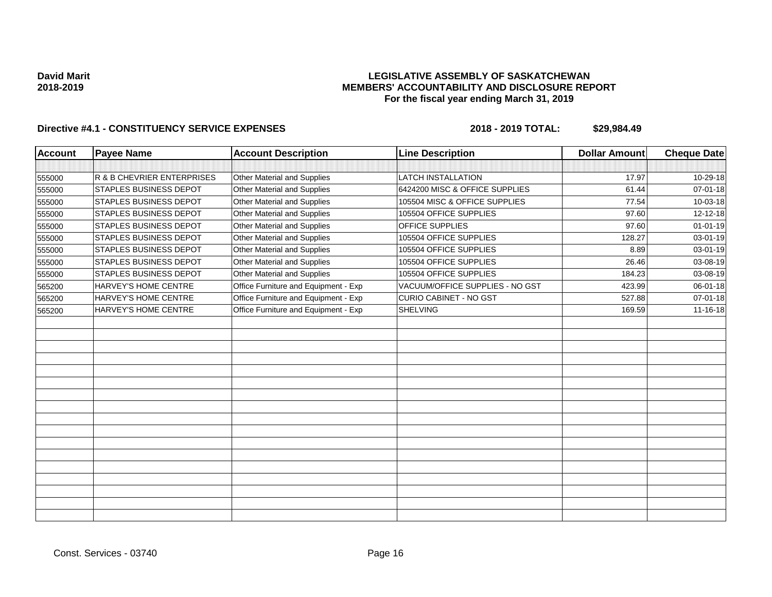## **LEGISLATIVE ASSEMBLY OF SASKATCHEWAN MEMBERS' ACCOUNTABILITY AND DISCLOSURE REPORT For the fiscal year ending March 31, 2019**

| <b>Account</b> | <b>Payee Name</b>             | <b>Account Description</b>           | <b>Line Description</b>         | <b>Dollar Amount</b> | <b>Cheque Date</b> |
|----------------|-------------------------------|--------------------------------------|---------------------------------|----------------------|--------------------|
|                |                               |                                      |                                 |                      |                    |
| 555000         | R & B CHEVRIER ENTERPRISES    | Other Material and Supplies          | <b>LATCH INSTALLATION</b>       | 17.97                | 10-29-18           |
| 555000         | <b>STAPLES BUSINESS DEPOT</b> | Other Material and Supplies          | 6424200 MISC & OFFICE SUPPLIES  | 61.44                | 07-01-18           |
| 555000         | <b>STAPLES BUSINESS DEPOT</b> | Other Material and Supplies          | 105504 MISC & OFFICE SUPPLIES   | 77.54                | 10-03-18           |
| 555000         | <b>STAPLES BUSINESS DEPOT</b> | Other Material and Supplies          | 105504 OFFICE SUPPLIES          | 97.60                | 12-12-18           |
| 555000         | <b>STAPLES BUSINESS DEPOT</b> | Other Material and Supplies          | OFFICE SUPPLIES                 | 97.60                | $01 - 01 - 19$     |
| 555000         | <b>STAPLES BUSINESS DEPOT</b> | Other Material and Supplies          | 105504 OFFICE SUPPLIES          | 128.27               | 03-01-19           |
| 555000         | STAPLES BUSINESS DEPOT        | Other Material and Supplies          | 105504 OFFICE SUPPLIES          | 8.89                 | 03-01-19           |
| 555000         | <b>STAPLES BUSINESS DEPOT</b> | Other Material and Supplies          | 105504 OFFICE SUPPLIES          | 26.46                | 03-08-19           |
| 555000         | <b>STAPLES BUSINESS DEPOT</b> | Other Material and Supplies          | 105504 OFFICE SUPPLIES          | 184.23               | 03-08-19           |
| 565200         | HARVEY'S HOME CENTRE          | Office Furniture and Equipment - Exp | VACUUM/OFFICE SUPPLIES - NO GST | 423.99               | 06-01-18           |
| 565200         | HARVEY'S HOME CENTRE          | Office Furniture and Equipment - Exp | CURIO CABINET - NO GST          | 527.88               | 07-01-18           |
| 565200         | HARVEY'S HOME CENTRE          | Office Furniture and Equipment - Exp | <b>SHELVING</b>                 | 169.59               | 11-16-18           |
|                |                               |                                      |                                 |                      |                    |
|                |                               |                                      |                                 |                      |                    |
|                |                               |                                      |                                 |                      |                    |
|                |                               |                                      |                                 |                      |                    |
|                |                               |                                      |                                 |                      |                    |
|                |                               |                                      |                                 |                      |                    |
|                |                               |                                      |                                 |                      |                    |
|                |                               |                                      |                                 |                      |                    |
|                |                               |                                      |                                 |                      |                    |
|                |                               |                                      |                                 |                      |                    |
|                |                               |                                      |                                 |                      |                    |
|                |                               |                                      |                                 |                      |                    |
|                |                               |                                      |                                 |                      |                    |
|                |                               |                                      |                                 |                      |                    |
|                |                               |                                      |                                 |                      |                    |
|                |                               |                                      |                                 |                      |                    |
|                |                               |                                      |                                 |                      |                    |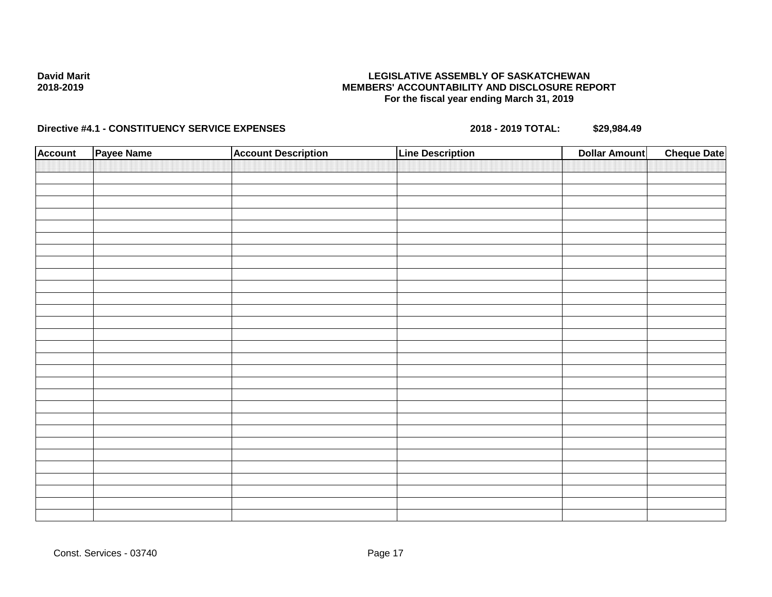## **LEGISLATIVE ASSEMBLY OF SASKATCHEWAN MEMBERS' ACCOUNTABILITY AND DISCLOSURE REPORT For the fiscal year ending March 31, 2019**

| <b>Account</b> | Payee Name | <b>Account Description</b> | <b>Line Description</b> | <b>Cheque Date</b><br><b>Dollar Amount</b> |
|----------------|------------|----------------------------|-------------------------|--------------------------------------------|
|                |            |                            |                         |                                            |
|                |            |                            |                         |                                            |
|                |            |                            |                         |                                            |
|                |            |                            |                         |                                            |
|                |            |                            |                         |                                            |
|                |            |                            |                         |                                            |
|                |            |                            |                         |                                            |
|                |            |                            |                         |                                            |
|                |            |                            |                         |                                            |
|                |            |                            |                         |                                            |
|                |            |                            |                         |                                            |
|                |            |                            |                         |                                            |
|                |            |                            |                         |                                            |
|                |            |                            |                         |                                            |
|                |            |                            |                         |                                            |
|                |            |                            |                         |                                            |
|                |            |                            |                         |                                            |
|                |            |                            |                         |                                            |
|                |            |                            |                         |                                            |
|                |            |                            |                         |                                            |
|                |            |                            |                         |                                            |
|                |            |                            |                         |                                            |
|                |            |                            |                         |                                            |
|                |            |                            |                         |                                            |
|                |            |                            |                         |                                            |
|                |            |                            |                         |                                            |
|                |            |                            |                         |                                            |
|                |            |                            |                         |                                            |
|                |            |                            |                         |                                            |
|                |            |                            |                         |                                            |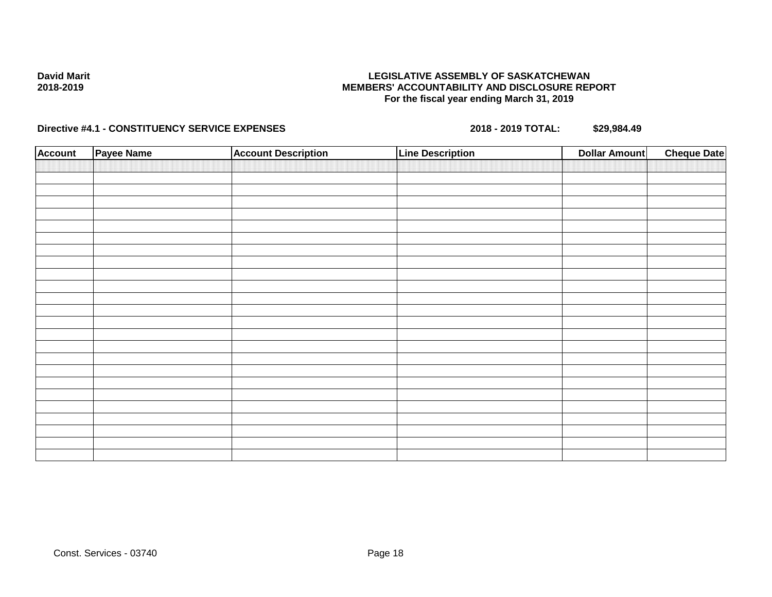## **LEGISLATIVE ASSEMBLY OF SASKATCHEWAN MEMBERS' ACCOUNTABILITY AND DISCLOSURE REPORT For the fiscal year ending March 31, 2019**

| <b>Account</b> | Payee Name | <b>Account Description</b> | <b>Line Description</b> | <b>Dollar Amount</b> | <b>Cheque Date</b> |
|----------------|------------|----------------------------|-------------------------|----------------------|--------------------|
|                |            |                            |                         |                      |                    |
|                |            |                            |                         |                      |                    |
|                |            |                            |                         |                      |                    |
|                |            |                            |                         |                      |                    |
|                |            |                            |                         |                      |                    |
|                |            |                            |                         |                      |                    |
|                |            |                            |                         |                      |                    |
|                |            |                            |                         |                      |                    |
|                |            |                            |                         |                      |                    |
|                |            |                            |                         |                      |                    |
|                |            |                            |                         |                      |                    |
|                |            |                            |                         |                      |                    |
|                |            |                            |                         |                      |                    |
|                |            |                            |                         |                      |                    |
|                |            |                            |                         |                      |                    |
|                |            |                            |                         |                      |                    |
|                |            |                            |                         |                      |                    |
|                |            |                            |                         |                      |                    |
|                |            |                            |                         |                      |                    |
|                |            |                            |                         |                      |                    |
|                |            |                            |                         |                      |                    |
|                |            |                            |                         |                      |                    |
|                |            |                            |                         |                      |                    |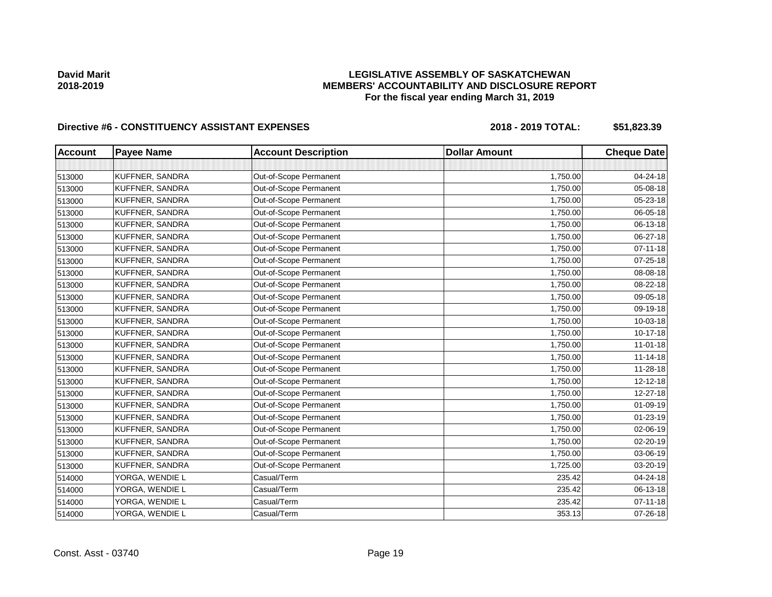## **LEGISLATIVE ASSEMBLY OF SASKATCHEWAN MEMBERS' ACCOUNTABILITY AND DISCLOSURE REPORT For the fiscal year ending March 31, 2019**

| <b>Account</b> | <b>Payee Name</b> | <b>Account Description</b> | <b>Dollar Amount</b> | <b>Cheque Date</b> |
|----------------|-------------------|----------------------------|----------------------|--------------------|
|                |                   |                            |                      |                    |
| 513000         | KUFFNER, SANDRA   | Out-of-Scope Permanent     | 1,750.00             | 04-24-18           |
| 513000         | KUFFNER, SANDRA   | Out-of-Scope Permanent     | 1,750.00             | 05-08-18           |
| 513000         | KUFFNER, SANDRA   | Out-of-Scope Permanent     | 1,750.00             | $05 - 23 - 18$     |
| 513000         | KUFFNER, SANDRA   | Out-of-Scope Permanent     | 1,750.00             | 06-05-18           |
| 513000         | KUFFNER, SANDRA   | Out-of-Scope Permanent     | 1,750.00             | 06-13-18           |
| 513000         | KUFFNER, SANDRA   | Out-of-Scope Permanent     | 1,750.00             | 06-27-18           |
| 513000         | KUFFNER, SANDRA   | Out-of-Scope Permanent     | 1,750.00             | $07 - 11 - 18$     |
| 513000         | KUFFNER, SANDRA   | Out-of-Scope Permanent     | 1,750.00             | 07-25-18           |
| 513000         | KUFFNER, SANDRA   | Out-of-Scope Permanent     | 1,750.00             | 08-08-18           |
| 513000         | KUFFNER, SANDRA   | Out-of-Scope Permanent     | 1,750.00             | 08-22-18           |
| 513000         | KUFFNER, SANDRA   | Out-of-Scope Permanent     | 1,750.00             | 09-05-18           |
| 513000         | KUFFNER, SANDRA   | Out-of-Scope Permanent     | 1,750.00             | 09-19-18           |
| 513000         | KUFFNER, SANDRA   | Out-of-Scope Permanent     | 1,750.00             | 10-03-18           |
| 513000         | KUFFNER, SANDRA   | Out-of-Scope Permanent     | 1,750.00             | 10-17-18           |
| 513000         | KUFFNER, SANDRA   | Out-of-Scope Permanent     | 1,750.00             | $11 - 01 - 18$     |
| 513000         | KUFFNER, SANDRA   | Out-of-Scope Permanent     | 1,750.00             | $11 - 14 - 18$     |
| 513000         | KUFFNER, SANDRA   | Out-of-Scope Permanent     | 1,750.00             | 11-28-18           |
| 513000         | KUFFNER, SANDRA   | Out-of-Scope Permanent     | 1,750.00             | $12 - 12 - 18$     |
| 513000         | KUFFNER, SANDRA   | Out-of-Scope Permanent     | 1,750.00             | 12-27-18           |
| 513000         | KUFFNER, SANDRA   | Out-of-Scope Permanent     | 1,750.00             | 01-09-19           |
| 513000         | KUFFNER, SANDRA   | Out-of-Scope Permanent     | 1,750.00             | 01-23-19           |
| 513000         | KUFFNER, SANDRA   | Out-of-Scope Permanent     | 1,750.00             | 02-06-19           |
| 513000         | KUFFNER, SANDRA   | Out-of-Scope Permanent     | 1,750.00             | 02-20-19           |
| 513000         | KUFFNER, SANDRA   | Out-of-Scope Permanent     | 1,750.00             | 03-06-19           |
| 513000         | KUFFNER, SANDRA   | Out-of-Scope Permanent     | 1,725.00             | 03-20-19           |
| 514000         | YORGA, WENDIE L   | Casual/Term                | 235.42               | 04-24-18           |
| 514000         | YORGA, WENDIE L   | Casual/Term                | 235.42               | 06-13-18           |
| 514000         | YORGA, WENDIE L   | Casual/Term                | 235.42               | $07 - 11 - 18$     |
| 514000         | YORGA, WENDIE L   | Casual/Term                | 353.13               | 07-26-18           |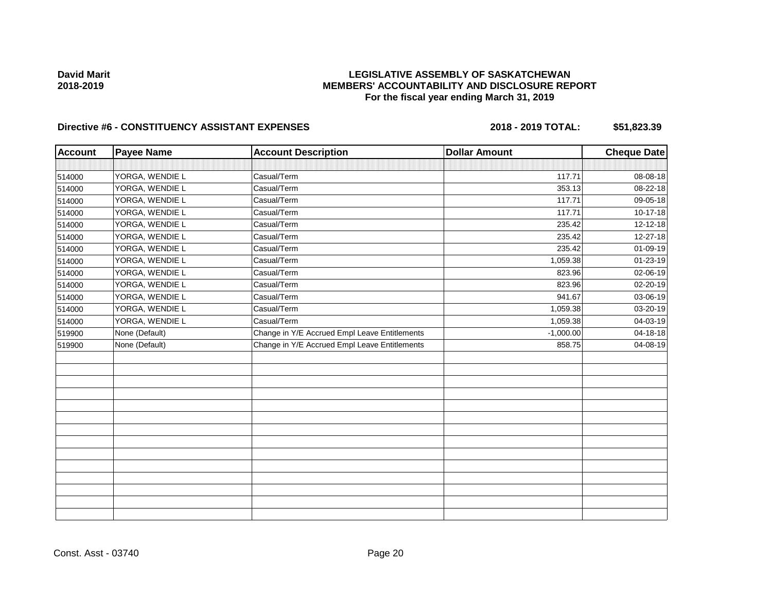## **LEGISLATIVE ASSEMBLY OF SASKATCHEWAN MEMBERS' ACCOUNTABILITY AND DISCLOSURE REPORT For the fiscal year ending March 31, 2019**

| <b>Account</b> | <b>Payee Name</b> | <b>Account Description</b>                    | <b>Dollar Amount</b> | <b>Cheque Date</b> |
|----------------|-------------------|-----------------------------------------------|----------------------|--------------------|
|                |                   |                                               |                      |                    |
| 514000         | YORGA, WENDIE L   | Casual/Term                                   | 117.71               | 08-08-18           |
| 514000         | YORGA, WENDIE L   | Casual/Term                                   | 353.13               | 08-22-18           |
| 514000         | YORGA, WENDIE L   | Casual/Term                                   | 117.71               | 09-05-18           |
| 514000         | YORGA, WENDIE L   | Casual/Term                                   | 117.71               | 10-17-18           |
| 514000         | YORGA, WENDIE L   | Casual/Term                                   | 235.42               | 12-12-18           |
| 514000         | YORGA, WENDIE L   | Casual/Term                                   | 235.42               | 12-27-18           |
| 514000         | YORGA, WENDIE L   | Casual/Term                                   | 235.42               | 01-09-19           |
| 514000         | YORGA, WENDIE L   | Casual/Term                                   | 1,059.38             | $01 - 23 - 19$     |
| 514000         | YORGA, WENDIE L   | Casual/Term                                   | 823.96               | 02-06-19           |
| 514000         | YORGA, WENDIE L   | Casual/Term                                   | 823.96               | 02-20-19           |
| 514000         | YORGA, WENDIE L   | Casual/Term                                   | 941.67               | 03-06-19           |
| 514000         | YORGA, WENDIE L   | Casual/Term                                   | 1,059.38             | 03-20-19           |
| 514000         | YORGA, WENDIE L   | Casual/Term                                   | 1,059.38             | 04-03-19           |
| 519900         | None (Default)    | Change in Y/E Accrued Empl Leave Entitlements | $-1,000.00$          | 04-18-18           |
| 519900         | None (Default)    | Change in Y/E Accrued Empl Leave Entitlements | 858.75               | 04-08-19           |
|                |                   |                                               |                      |                    |
|                |                   |                                               |                      |                    |
|                |                   |                                               |                      |                    |
|                |                   |                                               |                      |                    |
|                |                   |                                               |                      |                    |
|                |                   |                                               |                      |                    |
|                |                   |                                               |                      |                    |
|                |                   |                                               |                      |                    |
|                |                   |                                               |                      |                    |
|                |                   |                                               |                      |                    |
|                |                   |                                               |                      |                    |
|                |                   |                                               |                      |                    |
|                |                   |                                               |                      |                    |
|                |                   |                                               |                      |                    |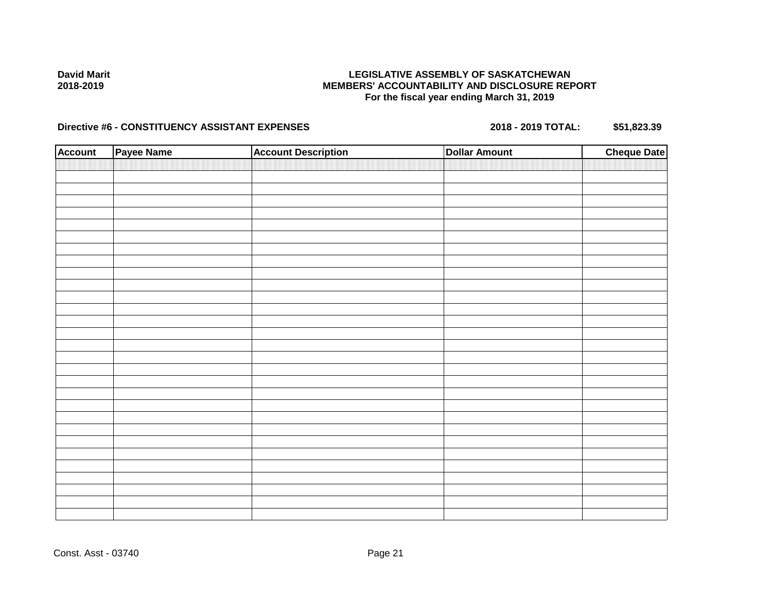## **LEGISLATIVE ASSEMBLY OF SASKATCHEWAN MEMBERS' ACCOUNTABILITY AND DISCLOSURE REPORT For the fiscal year ending March 31, 2019**

| <b>Account</b> | Payee Name | <b>Account Description</b> | <b>Dollar Amount</b> | <b>Cheque Date</b> |
|----------------|------------|----------------------------|----------------------|--------------------|
|                |            |                            |                      |                    |
|                |            |                            |                      |                    |
|                |            |                            |                      |                    |
|                |            |                            |                      |                    |
|                |            |                            |                      |                    |
|                |            |                            |                      |                    |
|                |            |                            |                      |                    |
|                |            |                            |                      |                    |
|                |            |                            |                      |                    |
|                |            |                            |                      |                    |
|                |            |                            |                      |                    |
|                |            |                            |                      |                    |
|                |            |                            |                      |                    |
|                |            |                            |                      |                    |
|                |            |                            |                      |                    |
|                |            |                            |                      |                    |
|                |            |                            |                      |                    |
|                |            |                            |                      |                    |
|                |            |                            |                      |                    |
|                |            |                            |                      |                    |
|                |            |                            |                      |                    |
|                |            |                            |                      |                    |
|                |            |                            |                      |                    |
|                |            |                            |                      |                    |
|                |            |                            |                      |                    |
|                |            |                            |                      |                    |
|                |            |                            |                      |                    |
|                |            |                            |                      |                    |
|                |            |                            |                      |                    |